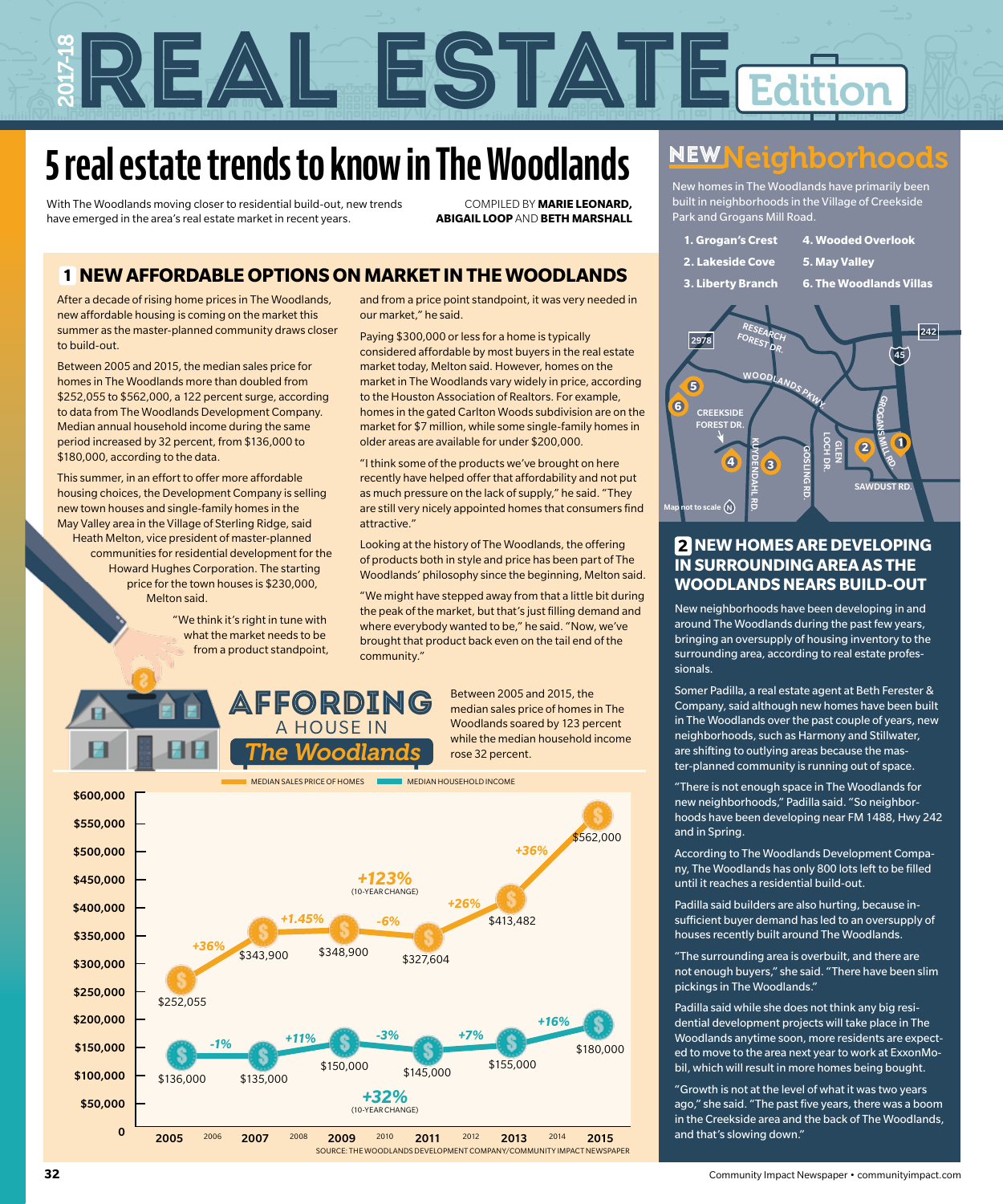# REAL ESTATE EAL ESTATEGINO

## **5 real estate trends to know in The Woodlands**

With The Woodlands moving closer to residential build-out, new trends have emerged in the area's real estate market in recent years.

COMPILED BY **MARIE LEONARD, ABIGAIL LOOP** AND **BETH MARSHALL**

#### **1 NEW AFFORDABLE OPTIONS ON MARKET IN THE WOODLANDS**

After a decade of rising home prices in The Woodlands, new affordable housing is coming on the market this summer as the master-planned community draws closer to build-out.

Between 2005 and 2015, the median sales price for homes in The Woodlands more than doubled from \$252,055 to \$562,000, a 122 percent surge, according to data from The Woodlands Development Company. Median annual household income during the same period increased by 32 percent, from \$136,000 to \$180,000, according to the data.

This summer, in an effort to offer more affordable housing choices, the Development Company is selling new town houses and single-family homes in the May Valley area in the Village of Sterling Ridge, said Heath Melton, vice president of master-planned communities for residential development for the Howard Hughes Corporation. The starting price for the town houses is \$230,000, Melton said.

"We think it's right in tune with what the market needs to be from a product standpoint,

and from a price point standpoint, it was very needed in our market," he said.

Paying \$300,000 or less for a home is typically considered affordable by most buyers in the real estate market today, Melton said. However, homes on the market in The Woodlands vary widely in price, according to the Houston Association of Realtors. For example, homes in the gated Carlton Woods subdivision are on the market for \$7 million, while some single-family homes in older areas are available for under \$200,000.

"I think some of the products we've brought on here recently have helped offer that affordability and not put as much pressure on the lack of supply," he said. "They are still very nicely appointed homes that consumers find attractive."

Looking at the history of The Woodlands, the offering of products both in style and price has been part of The Woodlands' philosophy since the beginning, Melton said.

"We might have stepped away from that a little bit during the peak of the market, but that's just filling demand and where everybody wanted to be," he said. "Now, we've brought that product back even on the tail end of the community."

Between 2005 and 2015, the median sales price of homes in The Woodlands soared by 123 percent while the median household income rose 32 percent. Affording



A HOUSE IN The Woodlands

## **NEW Neighborhoods**

New homes in The Woodlands have primarily been built in neighborhoods in the Village of Creekside Park and Grogans Mill Road.

**1. Grogan's Crest 2. Lakeside Cove 3. Liberty Branch 4. Wooded Overlook 5. May Valley 6. The Woodlands Villas** 



#### **2 NEW HOMES ARE DEVELOPING IN SURROUNDING AREA AS THE WOODLANDS NEARS BUILD-OUT**

New neighborhoods have been developing in and around The Woodlands during the past few years, bringing an oversupply of housing inventory to the surrounding area, according to real estate professionals.

Somer Padilla, a real estate agent at Beth Ferester & Company, said although new homes have been built in The Woodlands over the past couple of years, new neighborhoods, such as Harmony and Stillwater, are shifting to outlying areas because the master-planned community is running out of space.

"There is not enough space in The Woodlands for new neighborhoods," Padilla said. "So neighborhoods have been developing near FM 1488, Hwy 242 and in Spring.

According to The Woodlands Development Company, The Woodlands has only 800 lots left to be filled until it reaches a residential build-out.

Padilla said builders are also hurting, because insufficient buyer demand has led to an oversupply of houses recently built around The Woodlands.

"The surrounding area is overbuilt, and there are not enough buyers," she said. "There have been slim pickings in The Woodlands."

Padilla said while she does not think any big residential development projects will take place in The Woodlands anytime soon, more residents are expected to move to the area next year to work at ExxonMobil, which will result in more homes being bought.

"Growth is not at the level of what it was two years ago," she said. "The past five years, there was a boom in the Creekside area and the back of The Woodlands, and that's slowing down."